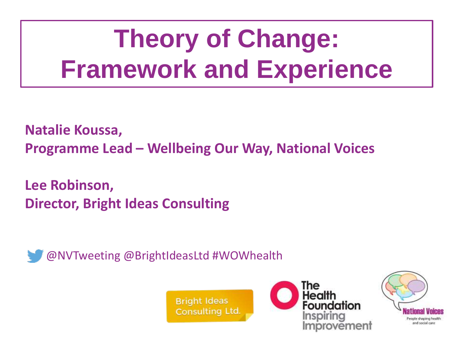# **Theory of Change: Framework and Experience**

**Natalie Koussa, Programme Lead – Wellbeing Our Way, National Voices**

**Lee Robinson, Director, Bright Ideas Consulting**

@NVTweeting @BrightIdeasLtd #WOWhealth



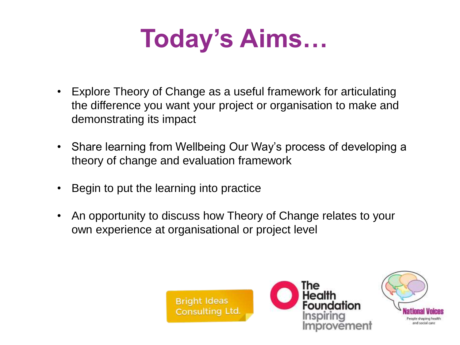**Today's Aims…**

- Explore Theory of Change as a useful framework for articulating the difference you want your project or organisation to make and demonstrating its impact
- Share learning from Wellbeing Our Way's process of developing a theory of change and evaluation framework
- Begin to put the learning into practice
- An opportunity to discuss how Theory of Change relates to your own experience at organisational or project level





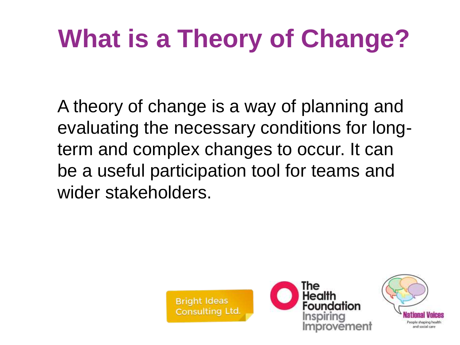# **What is a Theory of Change?**

A theory of change is a way of planning and evaluating the necessary conditions for longterm and complex changes to occur. It can be a useful participation tool for teams and wider stakeholders.





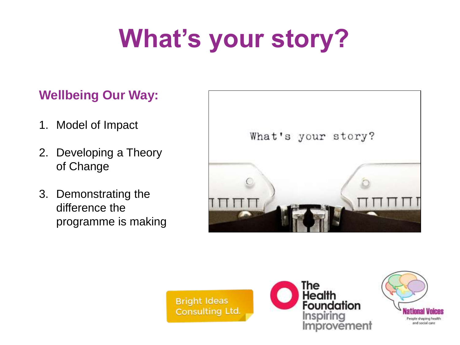# **What's your story?**

#### **Wellbeing Our Way:**

- 1. Model of Impact
- 2. Developing a Theory of Change
- 3. Demonstrating the difference the programme is making





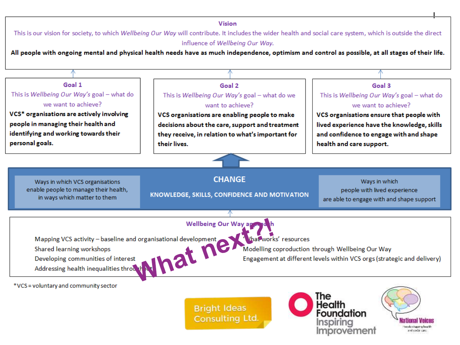#### Vision

This is our vision for society, to which Wellbeing Our Way will contribute. It includes the wider health and social care system, which is outside the direct influence of Wellbeing Our Way.

All people with ongoing mental and physical health needs have as much independence, optimism and control as possible, at all stages of their life.

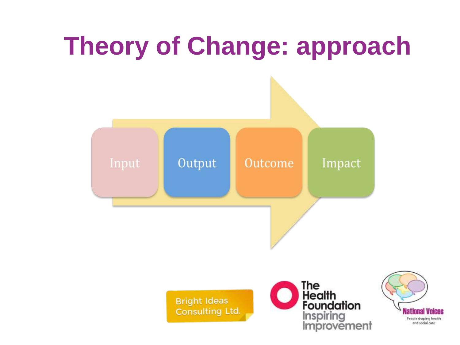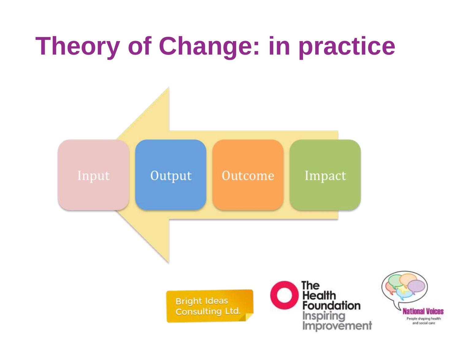## **Theory of Change: in practice**

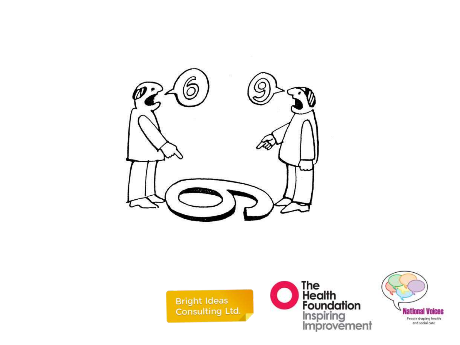





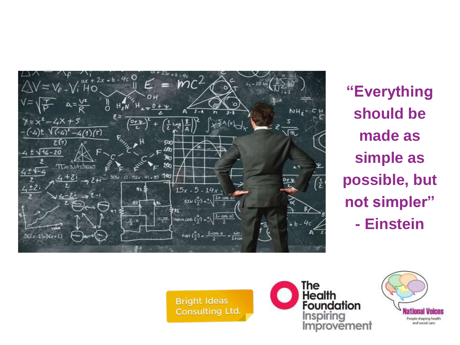

**"Everything should be made as simple as possible, but not simpler" - Einstein**





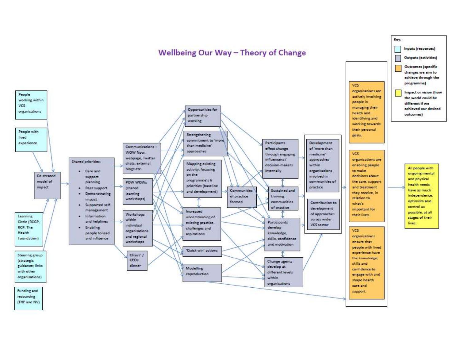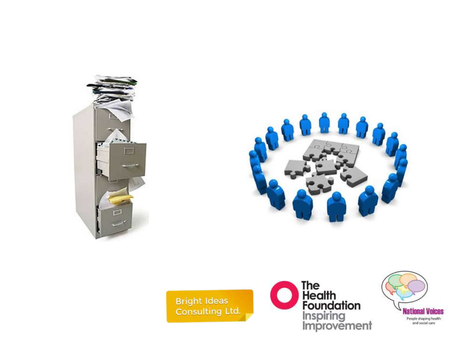







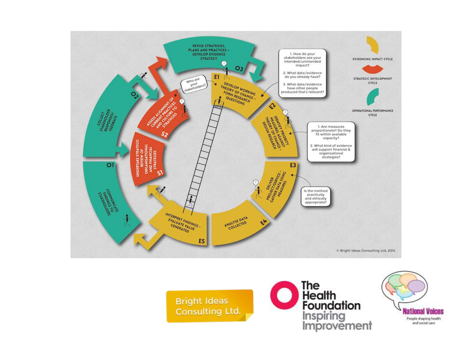





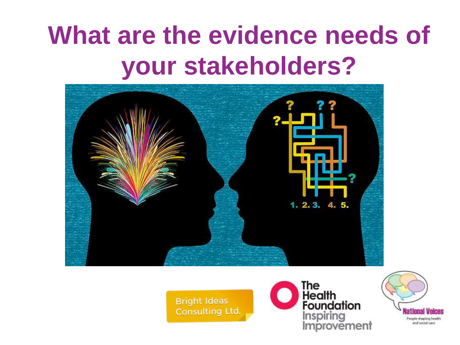## **What are the evidence needs of your stakeholders?**





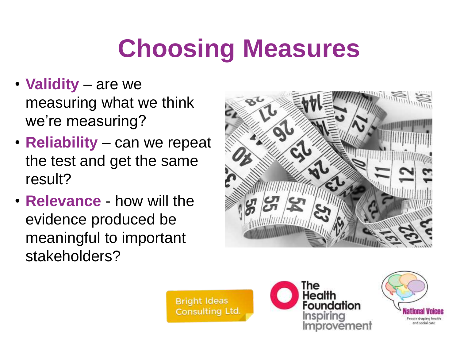# **Choosing Measures**

- **Validity** are we measuring what we think we're measuring?
- **Reliability** can we repeat the test and get the same result?
- **Relevance** how will the evidence produced be meaningful to important stakeholders?





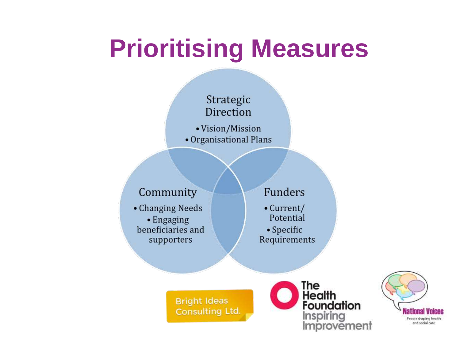### **Prioritising Measures**

#### Strategic **Direction**

• Vision/Mission • Organisational Plans

#### Community

• Changing Needs • Engaging beneficiaries and supporters

#### **Funders**

• Current/ Potential  $\bullet$  Specific Requirements



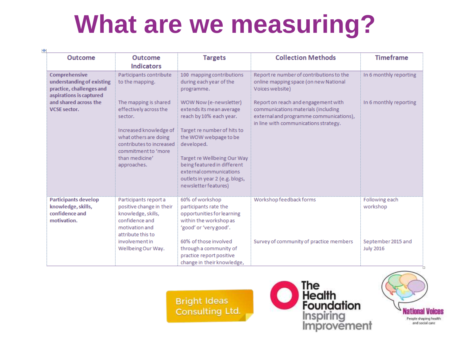### **What are we measuring?**

| ⊕                                                 |                                                   |                                                     |                                                                                |                            |
|---------------------------------------------------|---------------------------------------------------|-----------------------------------------------------|--------------------------------------------------------------------------------|----------------------------|
| <b>Outcome</b>                                    | <b>Outcome</b>                                    | <b>Targets</b>                                      | <b>Collection Methods</b>                                                      | <b>Timeframe</b>           |
|                                                   | <b>Indicators</b>                                 |                                                     |                                                                                |                            |
| Comprehensive                                     | Participants contribute                           | 100 mapping contributions                           | Report re number of contributions to the                                       | In 6 monthly reporting     |
| understanding of existing                         | to the mapping.                                   | during each year of the                             | online mapping space (on new National                                          |                            |
| practice, challenges and                          |                                                   | programme.                                          | Voices website)                                                                |                            |
| aspirations is captured                           |                                                   |                                                     |                                                                                |                            |
| and shared across the                             | The mapping is shared                             | WOW Now (e-newsletter)                              | Report on reach and engagement with                                            | In 6 monthly reporting     |
| <b>VCSE</b> sector.                               | effectively across the<br>sector.                 | extends its mean average<br>reach by 10% each year. | communications materials (including<br>external and programme communications), |                            |
|                                                   |                                                   |                                                     | in line with communications strategy.                                          |                            |
|                                                   | Increased knowledge of                            | Target re number of hits to                         |                                                                                |                            |
|                                                   | what others are doing                             | the WOW webpage to be                               |                                                                                |                            |
|                                                   | contributes to increased                          | developed.                                          |                                                                                |                            |
|                                                   | commitment to 'more                               |                                                     |                                                                                |                            |
|                                                   | than medicine'                                    | Target re Wellbeing Our Way                         |                                                                                |                            |
|                                                   | approaches.                                       | being featured in different                         |                                                                                |                            |
|                                                   |                                                   | external communications                             |                                                                                |                            |
|                                                   |                                                   | outlets in year 2 (e.g. blogs,                      |                                                                                |                            |
|                                                   |                                                   | newsletter features)                                |                                                                                |                            |
|                                                   |                                                   |                                                     |                                                                                |                            |
| <b>Participants develop</b><br>knowledge, skills, | Participants report a<br>positive change in their | 60% of workshop<br>participants rate the            | Workshop feedback forms                                                        | Following each<br>workshop |
| confidence and                                    | knowledge, skills,                                | opportunities for learning                          |                                                                                |                            |
| motivation.                                       | confidence and                                    | within the workshop as                              |                                                                                |                            |
|                                                   | motivation and                                    | 'good' or 'very good'.                              |                                                                                |                            |
|                                                   | attribute this to                                 |                                                     |                                                                                |                            |
|                                                   | involvement in                                    | 60% of those involved                               | Survey of community of practice members                                        | September 2015 and         |
|                                                   | Wellbeing Our Way.                                | through a community of                              |                                                                                | <b>July 2016</b>           |
|                                                   |                                                   | practice report positive                            |                                                                                |                            |
|                                                   |                                                   | change in their knowledge,                          |                                                                                |                            |



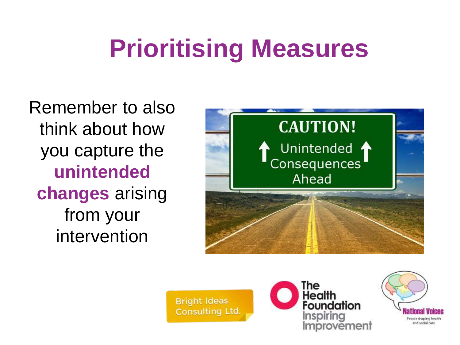### **Prioritising Measures**

Remember to also think about how you capture the **unintended changes** arising from your intervention





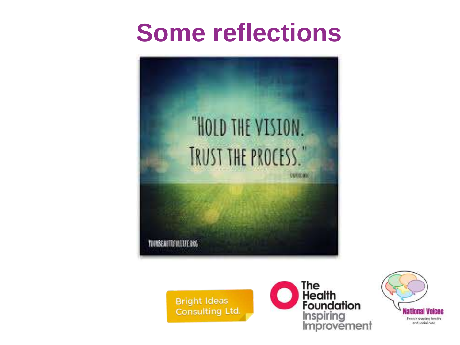### **Some reflections**